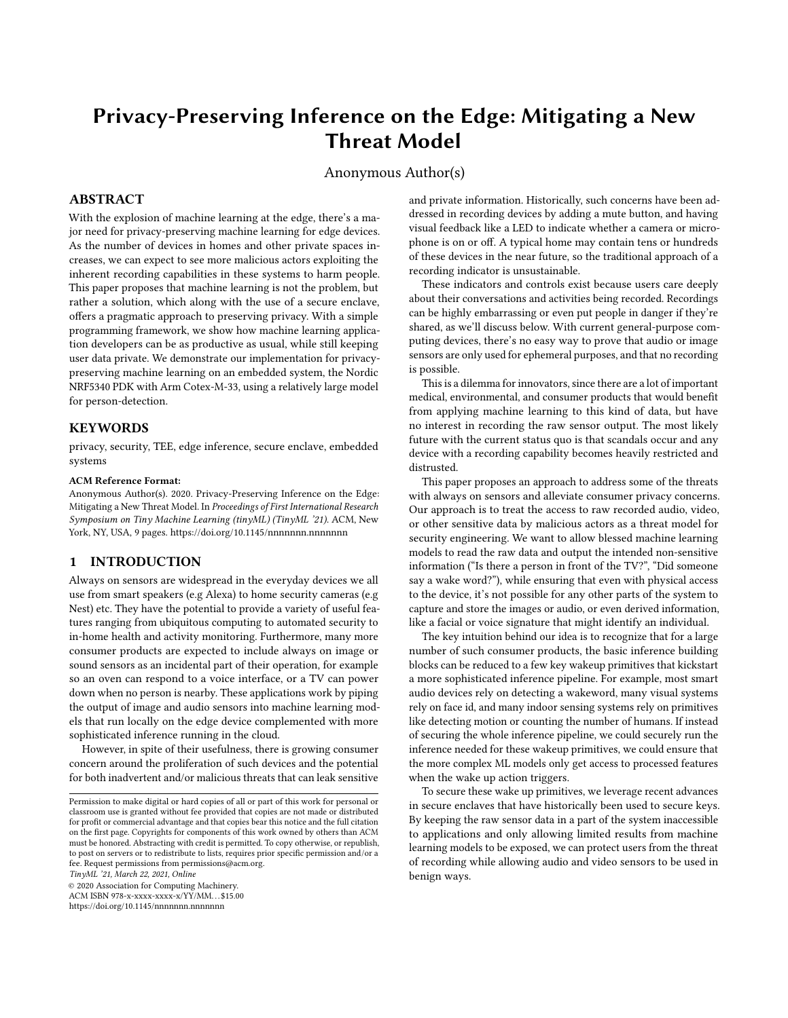# Privacy-Preserving Inference on the Edge: Mitigating a New Threat Model

Anonymous Author(s)

## ABSTRACT

With the explosion of machine learning at the edge, there's a major need for privacy-preserving machine learning for edge devices. As the number of devices in homes and other private spaces increases, we can expect to see more malicious actors exploiting the inherent recording capabilities in these systems to harm people. This paper proposes that machine learning is not the problem, but rather a solution, which along with the use of a secure enclave, offers a pragmatic approach to preserving privacy. With a simple programming framework, we show how machine learning application developers can be as productive as usual, while still keeping user data private. We demonstrate our implementation for privacypreserving machine learning on an embedded system, the Nordic NRF5340 PDK with Arm Cotex-M-33, using a relatively large model for person-detection.

#### KEYWORDS

privacy, security, TEE, edge inference, secure enclave, embedded systems

#### ACM Reference Format:

Anonymous Author(s). 2020. Privacy-Preserving Inference on the Edge: Mitigating a New Threat Model. In Proceedings of First International Research Symposium on Tiny Machine Learning (tinyML) (TinyML '21). ACM, New York, NY, USA, [9](#page-8-0) pages.<https://doi.org/10.1145/nnnnnnn.nnnnnnn>

#### 1 INTRODUCTION

Always on sensors are widespread in the everyday devices we all use from smart speakers (e.g Alexa) to home security cameras (e.g Nest) etc. They have the potential to provide a variety of useful features ranging from ubiquitous computing to automated security to in-home health and activity monitoring. Furthermore, many more consumer products are expected to include always on image or sound sensors as an incidental part of their operation, for example so an oven can respond to a voice interface, or a TV can power down when no person is nearby. These applications work by piping the output of image and audio sensors into machine learning models that run locally on the edge device complemented with more sophisticated inference running in the cloud.

However, in spite of their usefulness, there is growing consumer concern around the proliferation of such devices and the potential for both inadvertent and/or malicious threats that can leak sensitive

TinyML '21, March 22, 2021, Online

© 2020 Association for Computing Machinery.

ACM ISBN 978-x-xxxx-xxxx-x/YY/MM. . . \$15.00 <https://doi.org/10.1145/nnnnnnn.nnnnnnn>

and private information. Historically, such concerns have been addressed in recording devices by adding a mute button, and having visual feedback like a LED to indicate whether a camera or microphone is on or off. A typical home may contain tens or hundreds of these devices in the near future, so the traditional approach of a recording indicator is unsustainable.

These indicators and controls exist because users care deeply about their conversations and activities being recorded. Recordings can be highly embarrassing or even put people in danger if they're shared, as we'll discuss below. With current general-purpose computing devices, there's no easy way to prove that audio or image sensors are only used for ephemeral purposes, and that no recording is possible.

This is a dilemma for innovators, since there are a lot of important medical, environmental, and consumer products that would benefit from applying machine learning to this kind of data, but have no interest in recording the raw sensor output. The most likely future with the current status quo is that scandals occur and any device with a recording capability becomes heavily restricted and distrusted.

This paper proposes an approach to address some of the threats with always on sensors and alleviate consumer privacy concerns. Our approach is to treat the access to raw recorded audio, video, or other sensitive data by malicious actors as a threat model for security engineering. We want to allow blessed machine learning models to read the raw data and output the intended non-sensitive information ("Is there a person in front of the TV?", "Did someone say a wake word?"), while ensuring that even with physical access to the device, it's not possible for any other parts of the system to capture and store the images or audio, or even derived information, like a facial or voice signature that might identify an individual.

The key intuition behind our idea is to recognize that for a large number of such consumer products, the basic inference building blocks can be reduced to a few key wakeup primitives that kickstart a more sophisticated inference pipeline. For example, most smart audio devices rely on detecting a wakeword, many visual systems rely on face id, and many indoor sensing systems rely on primitives like detecting motion or counting the number of humans. If instead of securing the whole inference pipeline, we could securely run the inference needed for these wakeup primitives, we could ensure that the more complex ML models only get access to processed features when the wake up action triggers.

To secure these wake up primitives, we leverage recent advances in secure enclaves that have historically been used to secure keys. By keeping the raw sensor data in a part of the system inaccessible to applications and only allowing limited results from machine learning models to be exposed, we can protect users from the threat of recording while allowing audio and video sensors to be used in benign ways.

Permission to make digital or hard copies of all or part of this work for personal or classroom use is granted without fee provided that copies are not made or distributed for profit or commercial advantage and that copies bear this notice and the full citation on the first page. Copyrights for components of this work owned by others than ACM must be honored. Abstracting with credit is permitted. To copy otherwise, or republish, to post on servers or to redistribute to lists, requires prior specific permission and/or a fee. Request permissions from permissions@acm.org.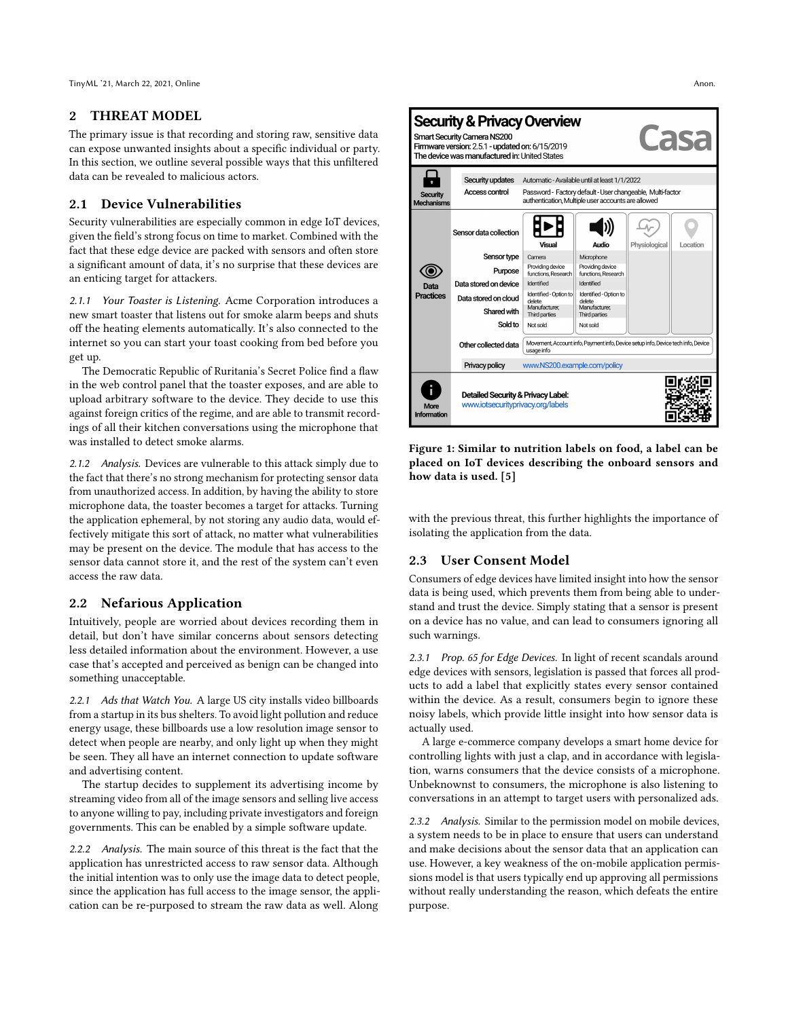TinyML '21, March 22, 2021, Online Anon.

## 2 THREAT MODEL

The primary issue is that recording and storing raw, sensitive data can expose unwanted insights about a specific individual or party. In this section, we outline several possible ways that this unfiltered data can be revealed to malicious actors.

# 2.1 Device Vulnerabilities

Security vulnerabilities are especially common in edge IoT devices, given the field's strong focus on time to market. Combined with the fact that these edge device are packed with sensors and often store a significant amount of data, it's no surprise that these devices are an enticing target for attackers.

2.1.1 Your Toaster is Listening. Acme Corporation introduces a new smart toaster that listens out for smoke alarm beeps and shuts off the heating elements automatically. It's also connected to the internet so you can start your toast cooking from bed before you get up.

The Democratic Republic of Ruritania's Secret Police find a flaw in the web control panel that the toaster exposes, and are able to upload arbitrary software to the device. They decide to use this against foreign critics of the regime, and are able to transmit recordings of all their kitchen conversations using the microphone that was installed to detect smoke alarms.

2.1.2 Analysis. Devices are vulnerable to this attack simply due to the fact that there's no strong mechanism for protecting sensor data from unauthorized access. In addition, by having the ability to store microphone data, the toaster becomes a target for attacks. Turning the application ephemeral, by not storing any audio data, would effectively mitigate this sort of attack, no matter what vulnerabilities may be present on the device. The module that has access to the sensor data cannot store it, and the rest of the system can't even access the raw data.

# 2.2 Nefarious Application

Intuitively, people are worried about devices recording them in detail, but don't have similar concerns about sensors detecting less detailed information about the environment. However, a use case that's accepted and perceived as benign can be changed into something unacceptable.

2.2.1 Ads that Watch You. A large US city installs video billboards from a startup in its bus shelters. To avoid light pollution and reduce energy usage, these billboards use a low resolution image sensor to detect when people are nearby, and only light up when they might be seen. They all have an internet connection to update software and advertising content.

The startup decides to supplement its advertising income by streaming video from all of the image sensors and selling live access to anyone willing to pay, including private investigators and foreign governments. This can be enabled by a simple software update.

2.2.2 Analysis. The main source of this threat is the fact that the application has unrestricted access to raw sensor data. Although the initial intention was to only use the image data to detect people, since the application has full access to the image sensor, the application can be re-purposed to stream the raw data as well. Along

<span id="page-1-0"></span>**Security & Privacy Overview asa** Smart Security Camera NS200 The device was manufactured in: United States Security updates Automatic - Available until at least 1/1/2022 ь. Access control Password - Factory default - User changeable Multi-factor Security authentication, Multiple user accounts are allowed Viechanis  $\langle \hspace{-0.2em}|\hspace{0.2em} v\hspace{-0.2em}\rangle\hspace{-0.2em}\rangle$  $\tilde{\mathcal{L}_{\mathcal{N}}}$  $\bigcirc$ Sensor data collection Audio Physiologic Location Sensor type Microphone Camera Providing device Providing device @ Purpose functions Researc functions. Research Identified Data stored on device Identified Data Identified - Option to Identified - Option to ractices Data stored on cloud delete<br>Manufacturer, delete<br>Manufacturer,<br>Third parties Shared with Third<sub>n</sub> Sold to Not sold Not sold Movement, Account info, Payment info, Device setup info, Device tech info, Device<br>usage info Other collected data Privacy policy www.NS200.example.com/policy П п Ť Detailed Security & Privacy Label: www.iotsecurityprivacy.org/labels More formati



with the previous threat, this further highlights the importance of isolating the application from the data.

# 2.3 User Consent Model

Consumers of edge devices have limited insight into how the sensor data is being used, which prevents them from being able to understand and trust the device. Simply stating that a sensor is present on a device has no value, and can lead to consumers ignoring all such warnings.

2.3.1 Prop. 65 for Edge Devices. In light of recent scandals around edge devices with sensors, legislation is passed that forces all products to add a label that explicitly states every sensor contained within the device. As a result, consumers begin to ignore these noisy labels, which provide little insight into how sensor data is actually used.

A large e-commerce company develops a smart home device for controlling lights with just a clap, and in accordance with legislation, warns consumers that the device consists of a microphone. Unbeknownst to consumers, the microphone is also listening to conversations in an attempt to target users with personalized ads.

2.3.2 Analysis. Similar to the permission model on mobile devices, a system needs to be in place to ensure that users can understand and make decisions about the sensor data that an application can use. However, a key weakness of the on-mobile application permissions model is that users typically end up approving all permissions without really understanding the reason, which defeats the entire purpose.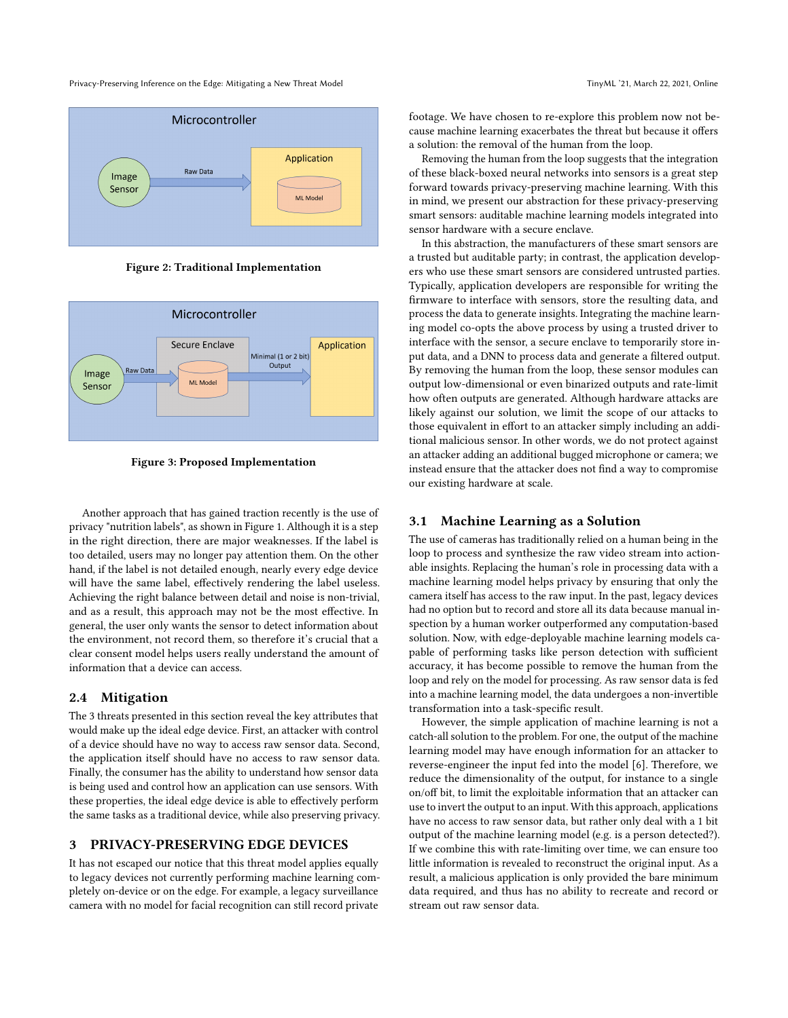Privacy-Preserving Inference on the Edge: Mitigating a New Threat Model Theorem 2008 and TinyML '21, March 22, 2021, Online



Figure 2: Traditional Implementation



Figure 3: Proposed Implementation

Another approach that has gained traction recently is the use of privacy "nutrition labels", as shown in Figure [1.](#page-1-0) Although it is a step in the right direction, there are major weaknesses. If the label is too detailed, users may no longer pay attention them. On the other hand, if the label is not detailed enough, nearly every edge device will have the same label, effectively rendering the label useless. Achieving the right balance between detail and noise is non-trivial, and as a result, this approach may not be the most effective. In general, the user only wants the sensor to detect information about the environment, not record them, so therefore it's crucial that a clear consent model helps users really understand the amount of information that a device can access.

## 2.4 Mitigation

The 3 threats presented in this section reveal the key attributes that would make up the ideal edge device. First, an attacker with control of a device should have no way to access raw sensor data. Second, the application itself should have no access to raw sensor data. Finally, the consumer has the ability to understand how sensor data is being used and control how an application can use sensors. With these properties, the ideal edge device is able to effectively perform the same tasks as a traditional device, while also preserving privacy.

#### 3 PRIVACY-PRESERVING EDGE DEVICES

It has not escaped our notice that this threat model applies equally to legacy devices not currently performing machine learning completely on-device or on the edge. For example, a legacy surveillance camera with no model for facial recognition can still record private

footage. We have chosen to re-explore this problem now not because machine learning exacerbates the threat but because it offers a solution: the removal of the human from the loop.

Removing the human from the loop suggests that the integration of these black-boxed neural networks into sensors is a great step forward towards privacy-preserving machine learning. With this in mind, we present our abstraction for these privacy-preserving smart sensors: auditable machine learning models integrated into sensor hardware with a secure enclave.

In this abstraction, the manufacturers of these smart sensors are a trusted but auditable party; in contrast, the application developers who use these smart sensors are considered untrusted parties. Typically, application developers are responsible for writing the firmware to interface with sensors, store the resulting data, and process the data to generate insights. Integrating the machine learning model co-opts the above process by using a trusted driver to interface with the sensor, a secure enclave to temporarily store input data, and a DNN to process data and generate a filtered output. By removing the human from the loop, these sensor modules can output low-dimensional or even binarized outputs and rate-limit how often outputs are generated. Although hardware attacks are likely against our solution, we limit the scope of our attacks to those equivalent in effort to an attacker simply including an additional malicious sensor. In other words, we do not protect against an attacker adding an additional bugged microphone or camera; we instead ensure that the attacker does not find a way to compromise our existing hardware at scale.

## 3.1 Machine Learning as a Solution

The use of cameras has traditionally relied on a human being in the loop to process and synthesize the raw video stream into actionable insights. Replacing the human's role in processing data with a machine learning model helps privacy by ensuring that only the camera itself has access to the raw input. In the past, legacy devices had no option but to record and store all its data because manual inspection by a human worker outperformed any computation-based solution. Now, with edge-deployable machine learning models capable of performing tasks like person detection with sufficient accuracy, it has become possible to remove the human from the loop and rely on the model for processing. As raw sensor data is fed into a machine learning model, the data undergoes a non-invertible transformation into a task-specific result.

However, the simple application of machine learning is not a catch-all solution to the problem. For one, the output of the machine learning model may have enough information for an attacker to reverse-engineer the input fed into the model [\[6\]](#page-8-2). Therefore, we reduce the dimensionality of the output, for instance to a single on/off bit, to limit the exploitable information that an attacker can use to invert the output to an input. With this approach, applications have no access to raw sensor data, but rather only deal with a 1 bit output of the machine learning model (e.g. is a person detected?). If we combine this with rate-limiting over time, we can ensure too little information is revealed to reconstruct the original input. As a result, a malicious application is only provided the bare minimum data required, and thus has no ability to recreate and record or stream out raw sensor data.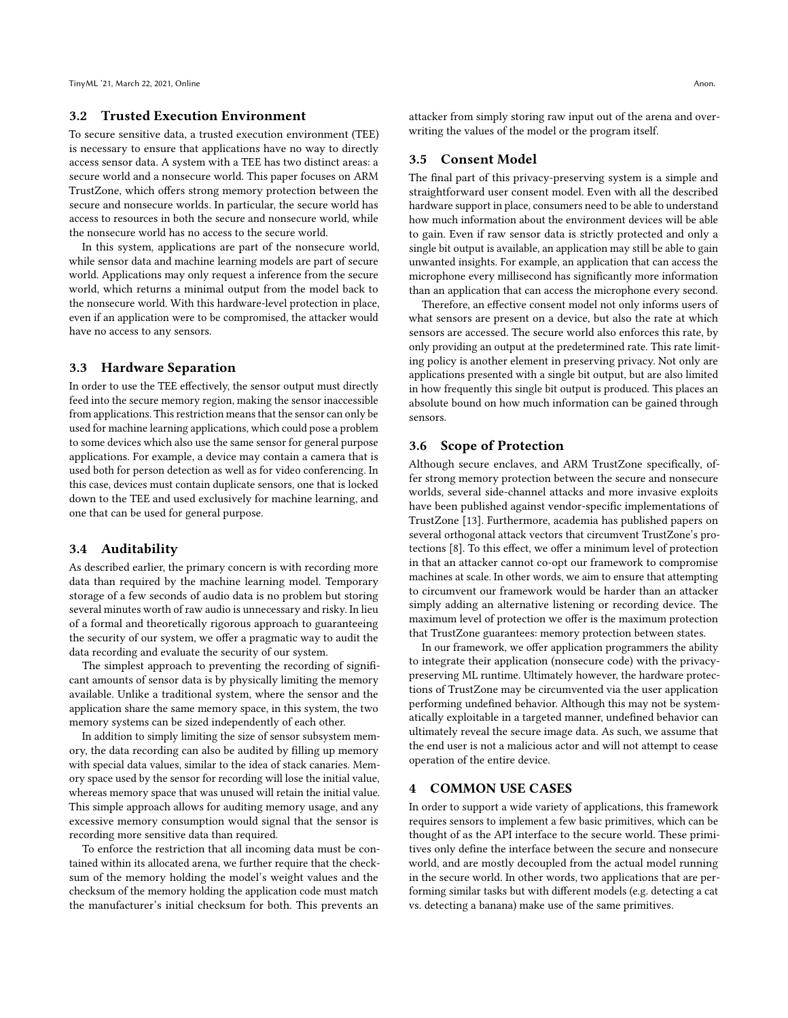#### 3.2 Trusted Execution Environment

To secure sensitive data, a trusted execution environment (TEE) is necessary to ensure that applications have no way to directly access sensor data. A system with a TEE has two distinct areas: a secure world and a nonsecure world. This paper focuses on ARM TrustZone, which offers strong memory protection between the secure and nonsecure worlds. In particular, the secure world has access to resources in both the secure and nonsecure world, while the nonsecure world has no access to the secure world.

In this system, applications are part of the nonsecure world, while sensor data and machine learning models are part of secure world. Applications may only request a inference from the secure world, which returns a minimal output from the model back to the nonsecure world. With this hardware-level protection in place, even if an application were to be compromised, the attacker would have no access to any sensors.

## 3.3 Hardware Separation

In order to use the TEE effectively, the sensor output must directly feed into the secure memory region, making the sensor inaccessible from applications. This restriction means that the sensor can only be used for machine learning applications, which could pose a problem to some devices which also use the same sensor for general purpose applications. For example, a device may contain a camera that is used both for person detection as well as for video conferencing. In this case, devices must contain duplicate sensors, one that is locked down to the TEE and used exclusively for machine learning, and one that can be used for general purpose.

#### 3.4 Auditability

As described earlier, the primary concern is with recording more data than required by the machine learning model. Temporary storage of a few seconds of audio data is no problem but storing several minutes worth of raw audio is unnecessary and risky. In lieu of a formal and theoretically rigorous approach to guaranteeing the security of our system, we offer a pragmatic way to audit the data recording and evaluate the security of our system.

The simplest approach to preventing the recording of significant amounts of sensor data is by physically limiting the memory available. Unlike a traditional system, where the sensor and the application share the same memory space, in this system, the two memory systems can be sized independently of each other.

In addition to simply limiting the size of sensor subsystem memory, the data recording can also be audited by filling up memory with special data values, similar to the idea of stack canaries. Memory space used by the sensor for recording will lose the initial value, whereas memory space that was unused will retain the initial value. This simple approach allows for auditing memory usage, and any excessive memory consumption would signal that the sensor is recording more sensitive data than required.

To enforce the restriction that all incoming data must be contained within its allocated arena, we further require that the checksum of the memory holding the model's weight values and the checksum of the memory holding the application code must match the manufacturer's initial checksum for both. This prevents an

attacker from simply storing raw input out of the arena and overwriting the values of the model or the program itself.

#### 3.5 Consent Model

The final part of this privacy-preserving system is a simple and straightforward user consent model. Even with all the described hardware support in place, consumers need to be able to understand how much information about the environment devices will be able to gain. Even if raw sensor data is strictly protected and only a single bit output is available, an application may still be able to gain unwanted insights. For example, an application that can access the microphone every millisecond has significantly more information than an application that can access the microphone every second.

Therefore, an effective consent model not only informs users of what sensors are present on a device, but also the rate at which sensors are accessed. The secure world also enforces this rate, by only providing an output at the predetermined rate. This rate limiting policy is another element in preserving privacy. Not only are applications presented with a single bit output, but are also limited in how frequently this single bit output is produced. This places an absolute bound on how much information can be gained through sensors.

## 3.6 Scope of Protection

Although secure enclaves, and ARM TrustZone specifically, offer strong memory protection between the secure and nonsecure worlds, several side-channel attacks and more invasive exploits have been published against vendor-specific implementations of TrustZone [\[13\]](#page-8-3). Furthermore, academia has published papers on several orthogonal attack vectors that circumvent TrustZone's protections [\[8\]](#page-8-4). To this effect, we offer a minimum level of protection in that an attacker cannot co-opt our framework to compromise machines at scale. In other words, we aim to ensure that attempting to circumvent our framework would be harder than an attacker simply adding an alternative listening or recording device. The maximum level of protection we offer is the maximum protection that TrustZone guarantees: memory protection between states.

In our framework, we offer application programmers the ability to integrate their application (nonsecure code) with the privacypreserving ML runtime. Ultimately however, the hardware protections of TrustZone may be circumvented via the user application performing undefined behavior. Although this may not be systematically exploitable in a targeted manner, undefined behavior can ultimately reveal the secure image data. As such, we assume that the end user is not a malicious actor and will not attempt to cease operation of the entire device.

#### 4 COMMON USE CASES

In order to support a wide variety of applications, this framework requires sensors to implement a few basic primitives, which can be thought of as the API interface to the secure world. These primitives only define the interface between the secure and nonsecure world, and are mostly decoupled from the actual model running in the secure world. In other words, two applications that are performing similar tasks but with different models (e.g. detecting a cat vs. detecting a banana) make use of the same primitives.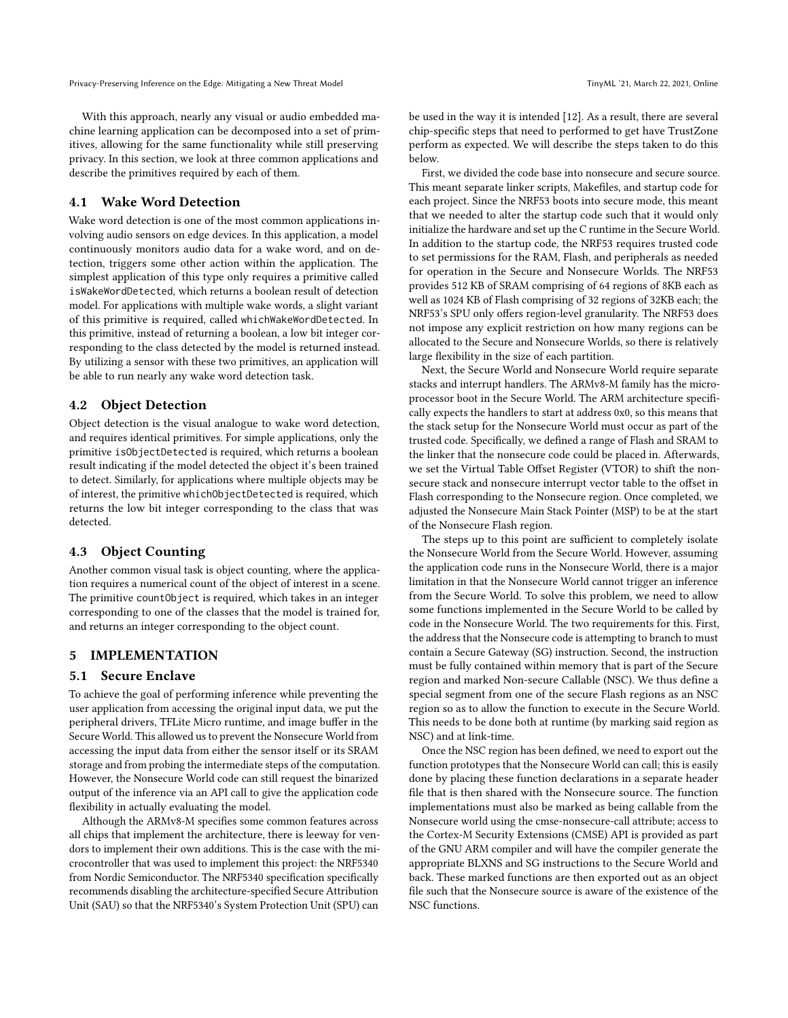Privacy-Preserving Inference on the Edge: Mitigating a New Threat Model Theorem 2008 and TinyML '21, March 22, 2021, Online

With this approach, nearly any visual or audio embedded machine learning application can be decomposed into a set of primitives, allowing for the same functionality while still preserving privacy. In this section, we look at three common applications and describe the primitives required by each of them.

#### 4.1 Wake Word Detection

Wake word detection is one of the most common applications involving audio sensors on edge devices. In this application, a model continuously monitors audio data for a wake word, and on detection, triggers some other action within the application. The simplest application of this type only requires a primitive called isWakeWordDetected, which returns a boolean result of detection model. For applications with multiple wake words, a slight variant of this primitive is required, called whichWakeWordDetected. In this primitive, instead of returning a boolean, a low bit integer corresponding to the class detected by the model is returned instead. By utilizing a sensor with these two primitives, an application will be able to run nearly any wake word detection task.

## 4.2 Object Detection

Object detection is the visual analogue to wake word detection, and requires identical primitives. For simple applications, only the primitive isObjectDetected is required, which returns a boolean result indicating if the model detected the object it's been trained to detect. Similarly, for applications where multiple objects may be of interest, the primitive whichObjectDetected is required, which returns the low bit integer corresponding to the class that was detected.

## 4.3 Object Counting

Another common visual task is object counting, where the application requires a numerical count of the object of interest in a scene. The primitive countObject is required, which takes in an integer corresponding to one of the classes that the model is trained for, and returns an integer corresponding to the object count.

## 5 IMPLEMENTATION

#### 5.1 Secure Enclave

To achieve the goal of performing inference while preventing the user application from accessing the original input data, we put the peripheral drivers, TFLite Micro runtime, and image buffer in the Secure World. This allowed us to prevent the Nonsecure World from accessing the input data from either the sensor itself or its SRAM storage and from probing the intermediate steps of the computation. However, the Nonsecure World code can still request the binarized output of the inference via an API call to give the application code flexibility in actually evaluating the model.

Although the ARMv8-M specifies some common features across all chips that implement the architecture, there is leeway for vendors to implement their own additions. This is the case with the microcontroller that was used to implement this project: the NRF5340 from Nordic Semiconductor. The NRF5340 specification specifically recommends disabling the architecture-specified Secure Attribution Unit (SAU) so that the NRF5340's System Protection Unit (SPU) can

be used in the way it is intended [\[12\]](#page-8-5). As a result, there are several chip-specific steps that need to performed to get have TrustZone perform as expected. We will describe the steps taken to do this below.

First, we divided the code base into nonsecure and secure source. This meant separate linker scripts, Makefiles, and startup code for each project. Since the NRF53 boots into secure mode, this meant that we needed to alter the startup code such that it would only initialize the hardware and set up the C runtime in the Secure World. In addition to the startup code, the NRF53 requires trusted code to set permissions for the RAM, Flash, and peripherals as needed for operation in the Secure and Nonsecure Worlds. The NRF53 provides 512 KB of SRAM comprising of 64 regions of 8KB each as well as 1024 KB of Flash comprising of 32 regions of 32KB each; the NRF53's SPU only offers region-level granularity. The NRF53 does not impose any explicit restriction on how many regions can be allocated to the Secure and Nonsecure Worlds, so there is relatively large flexibility in the size of each partition.

Next, the Secure World and Nonsecure World require separate stacks and interrupt handlers. The ARMv8-M family has the microprocessor boot in the Secure World. The ARM architecture specifically expects the handlers to start at address 0x0, so this means that the stack setup for the Nonsecure World must occur as part of the trusted code. Specifically, we defined a range of Flash and SRAM to the linker that the nonsecure code could be placed in. Afterwards, we set the Virtual Table Offset Register (VTOR) to shift the nonsecure stack and nonsecure interrupt vector table to the offset in Flash corresponding to the Nonsecure region. Once completed, we adjusted the Nonsecure Main Stack Pointer (MSP) to be at the start of the Nonsecure Flash region.

The steps up to this point are sufficient to completely isolate the Nonsecure World from the Secure World. However, assuming the application code runs in the Nonsecure World, there is a major limitation in that the Nonsecure World cannot trigger an inference from the Secure World. To solve this problem, we need to allow some functions implemented in the Secure World to be called by code in the Nonsecure World. The two requirements for this. First, the address that the Nonsecure code is attempting to branch to must contain a Secure Gateway (SG) instruction. Second, the instruction must be fully contained within memory that is part of the Secure region and marked Non-secure Callable (NSC). We thus define a special segment from one of the secure Flash regions as an NSC region so as to allow the function to execute in the Secure World. This needs to be done both at runtime (by marking said region as NSC) and at link-time.

Once the NSC region has been defined, we need to export out the function prototypes that the Nonsecure World can call; this is easily done by placing these function declarations in a separate header file that is then shared with the Nonsecure source. The function implementations must also be marked as being callable from the Nonsecure world using the cmse-nonsecure-call attribute; access to the Cortex-M Security Extensions (CMSE) API is provided as part of the GNU ARM compiler and will have the compiler generate the appropriate BLXNS and SG instructions to the Secure World and back. These marked functions are then exported out as an object file such that the Nonsecure source is aware of the existence of the NSC functions.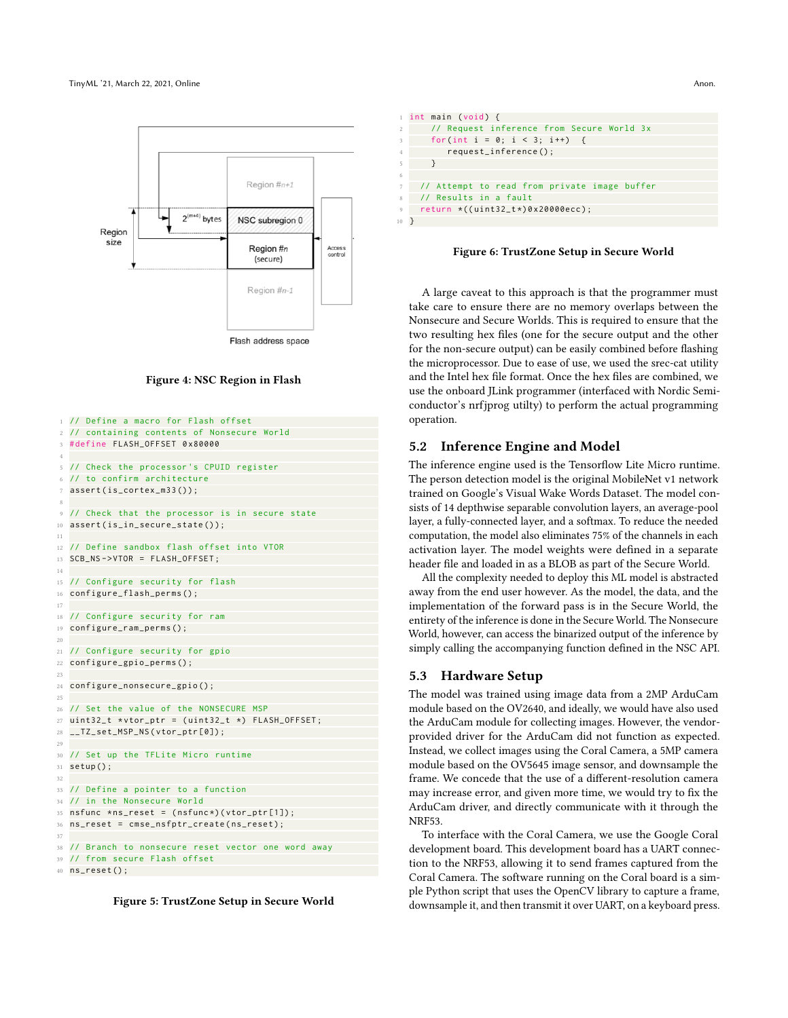

#### Figure 4: NSC Region in Flash

```
1 // Define a macro for Flash offset
2 // containing contents of Nonsecure World
3 # define FLASH_OFFSET 0 x80000
 4
5 // Check the processor 's CPUID register
6 // to confirm architecture
  assert(is_cortex_m33());
 8
9 // Check that the processor is in secure state
10 assert(is_in_secure_state());
11
12 // Define sandbox flash offset into VTOR
13 SCB_NS - > VTOR = FLASH_OFFSET ;
14
15 // Configure security for flash
16 configure_flash_perms () ;
17
18 // Configure security for ram
19 configure_ram_perms () ;
20
21 // Configure security for gpio
22 configure_gpio_perms () ;
23
24 configure_nonsecure_gpio () ;
25
26 // Set the value of the NONSECURE MSP
27 uint32_t *vtor_ptr = (uint32_t *) FLASH_OFFSET;
28 __TZ_set_MSP_NS ( vtor_ptr [0]) ;
29
30 // Set up the TFLite Micro runtime
31 setup () ;
32
33 // Define a pointer to a function
34 // in the Nonsecure World
35 nsfunc *ns_reset = (nsfunc*)(vtor_ptr[1]);
36 ns_reset = cmse_nsfptr_create ( ns_reset ) ;
37
38 // Branch to nonsecure reset vector one word away
39 // from secure Flash offset
40 ns_reset () ;
```


int main ( void) { // Request inference from Secure World 3x for ( int i =  $0; i < 3; i++)$  { request\_inference(); 5 } 6 7 // Attempt to read from private image buffer 8 // Results in a fault 9 return \*(( uint32\_t \*) 0 x20000ecc ) ; 10 }

#### Figure 6: TrustZone Setup in Secure World

A large caveat to this approach is that the programmer must take care to ensure there are no memory overlaps between the Nonsecure and Secure Worlds. This is required to ensure that the two resulting hex files (one for the secure output and the other for the non-secure output) can be easily combined before flashing the microprocessor. Due to ease of use, we used the srec-cat utility and the Intel hex file format. Once the hex files are combined, we use the onboard JLink programmer (interfaced with Nordic Semiconductor's nrfjprog utilty) to perform the actual programming operation.

#### 5.2 Inference Engine and Model

The inference engine used is the Tensorflow Lite Micro runtime. The person detection model is the original MobileNet v1 network trained on Google's Visual Wake Words Dataset. The model consists of 14 depthwise separable convolution layers, an average-pool layer, a fully-connected layer, and a softmax. To reduce the needed computation, the model also eliminates 75% of the channels in each activation layer. The model weights were defined in a separate header file and loaded in as a BLOB as part of the Secure World.

All the complexity needed to deploy this ML model is abstracted away from the end user however. As the model, the data, and the implementation of the forward pass is in the Secure World, the entirety of the inference is done in the Secure World. The Nonsecure World, however, can access the binarized output of the inference by simply calling the accompanying function defined in the NSC API.

#### 5.3 Hardware Setup

The model was trained using image data from a 2MP ArduCam module based on the OV2640, and ideally, we would have also used the ArduCam module for collecting images. However, the vendorprovided driver for the ArduCam did not function as expected. Instead, we collect images using the Coral Camera, a 5MP camera module based on the OV5645 image sensor, and downsample the frame. We concede that the use of a different-resolution camera may increase error, and given more time, we would try to fix the ArduCam driver, and directly communicate with it through the NRF53.

To interface with the Coral Camera, we use the Google Coral development board. This development board has a UART connection to the NRF53, allowing it to send frames captured from the Coral Camera. The software running on the Coral board is a simple Python script that uses the OpenCV library to capture a frame, downsample it, and then transmit it over UART, on a keyboard press.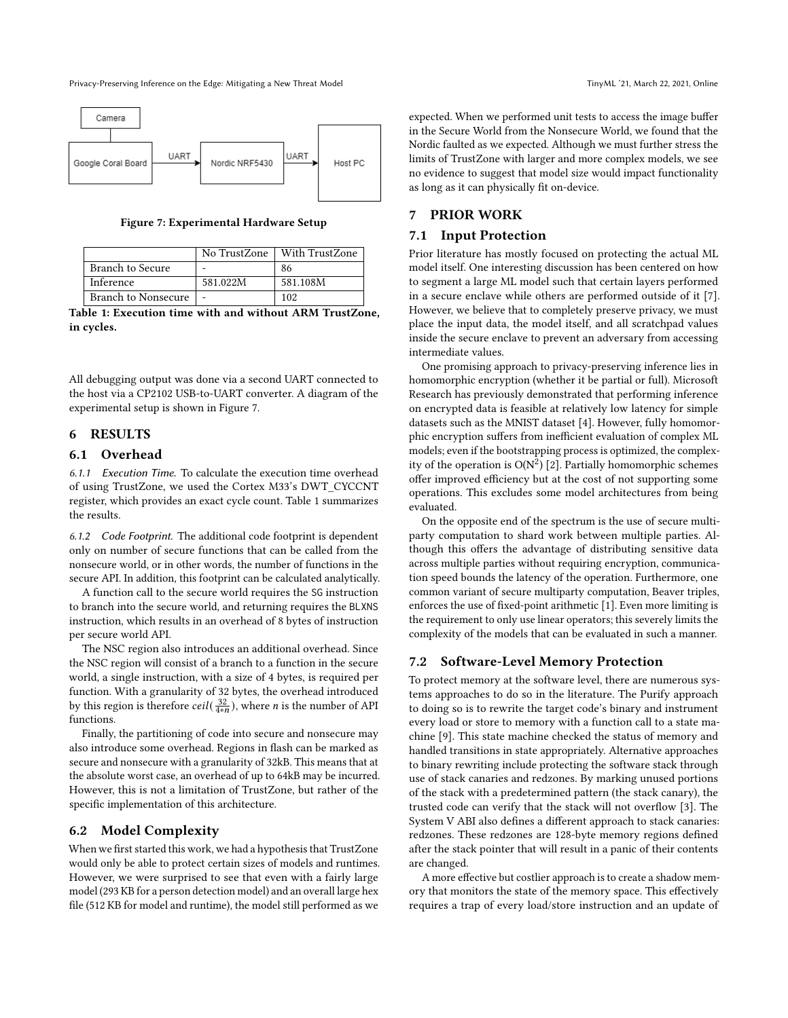Privacy-Preserving Inference on the Edge: Mitigating a New Threat Model Theorem 2008 and TinyML '21, March 22, 2021, Online

<span id="page-6-0"></span>

Figure 7: Experimental Hardware Setup

<span id="page-6-1"></span>

|                            |          | No TrustZone   With TrustZone |
|----------------------------|----------|-------------------------------|
| <b>Branch to Secure</b>    | -        | -86                           |
| Inference                  | 581.022M | 581.108M                      |
| <b>Branch to Nonsecure</b> |          | 102                           |

Table 1: Execution time with and without ARM TrustZone, in cycles.

All debugging output was done via a second UART connected to the host via a CP2102 USB-to-UART converter. A diagram of the experimental setup is shown in Figure [7.](#page-6-0)

#### 6 RESULTS

#### 6.1 Overhead

6.1.1 Execution Time. To calculate the execution time overhead of using TrustZone, we used the Cortex M33's DWT\_CYCCNT register, which provides an exact cycle count. Table [1](#page-6-1) summarizes the results.

6.1.2 Code Footprint. The additional code footprint is dependent only on number of secure functions that can be called from the nonsecure world, or in other words, the number of functions in the secure API. In addition, this footprint can be calculated analytically.

A function call to the secure world requires the SG instruction to branch into the secure world, and returning requires the BLXNS instruction, which results in an overhead of 8 bytes of instruction per secure world API.

The NSC region also introduces an additional overhead. Since the NSC region will consist of a branch to a function in the secure world, a single instruction, with a size of 4 bytes, is required per function. With a granularity of 32 bytes, the overhead introduced by this region is therefore  $ceil(\frac{32}{4*n})$ , where *n* is the number of API functions.

Finally, the partitioning of code into secure and nonsecure may also introduce some overhead. Regions in flash can be marked as secure and nonsecure with a granularity of 32kB. This means that at the absolute worst case, an overhead of up to 64kB may be incurred. However, this is not a limitation of TrustZone, but rather of the specific implementation of this architecture.

#### 6.2 Model Complexity

When we first started this work, we had a hypothesis that TrustZone would only be able to protect certain sizes of models and runtimes. However, we were surprised to see that even with a fairly large model (293 KB for a person detection model) and an overall large hex file (512 KB for model and runtime), the model still performed as we

expected. When we performed unit tests to access the image buffer in the Secure World from the Nonsecure World, we found that the Nordic faulted as we expected. Although we must further stress the limits of TrustZone with larger and more complex models, we see no evidence to suggest that model size would impact functionality as long as it can physically fit on-device.

## 7 PRIOR WORK

## 7.1 Input Protection

Prior literature has mostly focused on protecting the actual ML model itself. One interesting discussion has been centered on how to segment a large ML model such that certain layers performed in a secure enclave while others are performed outside of it [\[7\]](#page-8-6). However, we believe that to completely preserve privacy, we must place the input data, the model itself, and all scratchpad values inside the secure enclave to prevent an adversary from accessing intermediate values.

One promising approach to privacy-preserving inference lies in homomorphic encryption (whether it be partial or full). Microsoft Research has previously demonstrated that performing inference on encrypted data is feasible at relatively low latency for simple datasets such as the MNIST dataset [\[4\]](#page-7-0). However, fully homomorphic encryption suffers from inefficient evaluation of complex ML models; even if the bootstrapping process is optimized, the complexity of the operation is  $O(N^2)$  [\[2\]](#page-7-1). Partially homomorphic schemes offer improved efficiency but at the cost of not supporting some operations. This excludes some model architectures from being evaluated.

On the opposite end of the spectrum is the use of secure multiparty computation to shard work between multiple parties. Although this offers the advantage of distributing sensitive data across multiple parties without requiring encryption, communication speed bounds the latency of the operation. Furthermore, one common variant of secure multiparty computation, Beaver triples, enforces the use of fixed-point arithmetic [\[1\]](#page-7-2). Even more limiting is the requirement to only use linear operators; this severely limits the complexity of the models that can be evaluated in such a manner.

#### 7.2 Software-Level Memory Protection

To protect memory at the software level, there are numerous systems approaches to do so in the literature. The Purify approach to doing so is to rewrite the target code's binary and instrument every load or store to memory with a function call to a state machine [\[9\]](#page-8-7). This state machine checked the status of memory and handled transitions in state appropriately. Alternative approaches to binary rewriting include protecting the software stack through use of stack canaries and redzones. By marking unused portions of the stack with a predetermined pattern (the stack canary), the trusted code can verify that the stack will not overflow [\[3\]](#page-7-3). The System V ABI also defines a different approach to stack canaries: redzones. These redzones are 128-byte memory regions defined after the stack pointer that will result in a panic of their contents are changed.

A more effective but costlier approach is to create a shadow memory that monitors the state of the memory space. This effectively requires a trap of every load/store instruction and an update of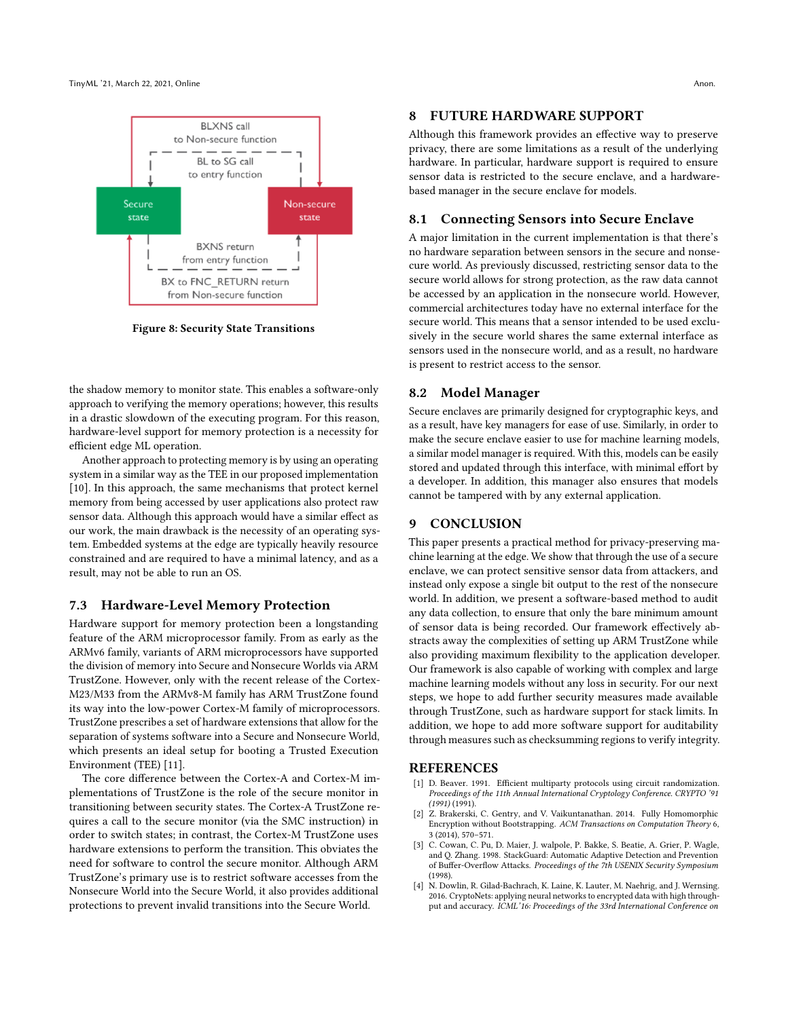

Figure 8: Security State Transitions

the shadow memory to monitor state. This enables a software-only approach to verifying the memory operations; however, this results in a drastic slowdown of the executing program. For this reason, hardware-level support for memory protection is a necessity for efficient edge ML operation.

Another approach to protecting memory is by using an operating system in a similar way as the TEE in our proposed implementation [\[10\]](#page-8-8). In this approach, the same mechanisms that protect kernel memory from being accessed by user applications also protect raw sensor data. Although this approach would have a similar effect as our work, the main drawback is the necessity of an operating system. Embedded systems at the edge are typically heavily resource constrained and are required to have a minimal latency, and as a result, may not be able to run an OS.

#### 7.3 Hardware-Level Memory Protection

Hardware support for memory protection been a longstanding feature of the ARM microprocessor family. From as early as the ARMv6 family, variants of ARM microprocessors have supported the division of memory into Secure and Nonsecure Worlds via ARM TrustZone. However, only with the recent release of the Cortex-M23/M33 from the ARMv8-M family has ARM TrustZone found its way into the low-power Cortex-M family of microprocessors. TrustZone prescribes a set of hardware extensions that allow for the separation of systems software into a Secure and Nonsecure World, which presents an ideal setup for booting a Trusted Execution Environment (TEE) [\[11\]](#page-8-9).

The core difference between the Cortex-A and Cortex-M implementations of TrustZone is the role of the secure monitor in transitioning between security states. The Cortex-A TrustZone requires a call to the secure monitor (via the SMC instruction) in order to switch states; in contrast, the Cortex-M TrustZone uses hardware extensions to perform the transition. This obviates the need for software to control the secure monitor. Although ARM TrustZone's primary use is to restrict software accesses from the Nonsecure World into the Secure World, it also provides additional protections to prevent invalid transitions into the Secure World.

## 8 FUTURE HARDWARE SUPPORT

Although this framework provides an effective way to preserve privacy, there are some limitations as a result of the underlying hardware. In particular, hardware support is required to ensure sensor data is restricted to the secure enclave, and a hardwarebased manager in the secure enclave for models.

## 8.1 Connecting Sensors into Secure Enclave

A major limitation in the current implementation is that there's no hardware separation between sensors in the secure and nonsecure world. As previously discussed, restricting sensor data to the secure world allows for strong protection, as the raw data cannot be accessed by an application in the nonsecure world. However, commercial architectures today have no external interface for the secure world. This means that a sensor intended to be used exclusively in the secure world shares the same external interface as sensors used in the nonsecure world, and as a result, no hardware is present to restrict access to the sensor.

#### 8.2 Model Manager

Secure enclaves are primarily designed for cryptographic keys, and as a result, have key managers for ease of use. Similarly, in order to make the secure enclave easier to use for machine learning models, a similar model manager is required. With this, models can be easily stored and updated through this interface, with minimal effort by a developer. In addition, this manager also ensures that models cannot be tampered with by any external application.

## 9 CONCLUSION

This paper presents a practical method for privacy-preserving machine learning at the edge. We show that through the use of a secure enclave, we can protect sensitive sensor data from attackers, and instead only expose a single bit output to the rest of the nonsecure world. In addition, we present a software-based method to audit any data collection, to ensure that only the bare minimum amount of sensor data is being recorded. Our framework effectively abstracts away the complexities of setting up ARM TrustZone while also providing maximum flexibility to the application developer. Our framework is also capable of working with complex and large machine learning models without any loss in security. For our next steps, we hope to add further security measures made available through TrustZone, such as hardware support for stack limits. In addition, we hope to add more software support for auditability through measures such as checksumming regions to verify integrity.

#### **REFERENCES**

- <span id="page-7-2"></span>[1] D. Beaver. 1991. Efficient multiparty protocols using circuit randomization. Proceedings of the 11th Annual International Cryptology Conference. CRYPTO '91  $(1991)(1991)$
- <span id="page-7-1"></span>[2] Z. Brakerski, C. Gentry, and V. Vaikuntanathan. 2014. Fully Homomorphic Encryption without Bootstrapping. ACM Transactions on Computation Theory 6, 3 (2014), 570–571.
- <span id="page-7-3"></span>[3] C. Cowan, C. Pu, D. Maier, J. walpole, P. Bakke, S. Beatie, A. Grier, P. Wagle, and Q. Zhang. 1998. StackGuard: Automatic Adaptive Detection and Prevention of Buffer-Overflow Attacks. Proceedings of the 7th USENIX Security Symposium (1998).
- <span id="page-7-0"></span>[4] N. Dowlin, R. Gilad-Bachrach, K. Laine, K. Lauter, M. Naehrig, and J. Wernsing. 2016. CryptoNets: applying neural networks to encrypted data with high throughput and accuracy. ICML'16: Proceedings of the 33rd International Conference on